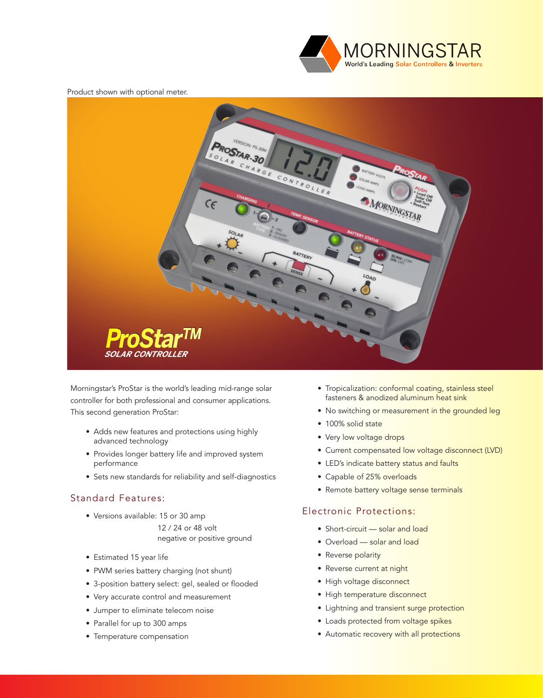

#### Product shown with optional meter.



Morningstar's ProStar is the world's leading mid-range solar controller for both professional and consumer applications. This second generation ProStar:

- Adds new features and protections using highly advanced technology
- Provides longer battery life and improved system performance
- Sets new standards for reliability and self-diagnostics

#### Standard Features:

• Versions available: 15 or 30 amp

 12 / 24 or 48 volt negative or positive ground

- Estimated 15 year life
- PWM series battery charging (not shunt)
- 3-position battery select: gel, sealed or flooded
- Very accurate control and measurement
- Jumper to eliminate telecom noise
- Parallel for up to 300 amps
- Temperature compensation
- Tropicalization: conformal coating, stainless steel fasteners & anodized aluminum heat sink
- No switching or measurement in the grounded leg
- 100% solid state
- Very low voltage drops
- Current compensated low voltage disconnect (LVD)
- LED's indicate battery status and faults
- Capable of 25% overloads
- Remote battery voltage sense terminals

#### Electronic Protections:

- Short-circuit solar and load
- Overload solar and load
- Reverse polarity
- Reverse current at night
- High voltage disconnect
- High temperature disconnect
- Lightning and transient surge protection
- Loads protected from voltage spikes
- Automatic recovery with all protections